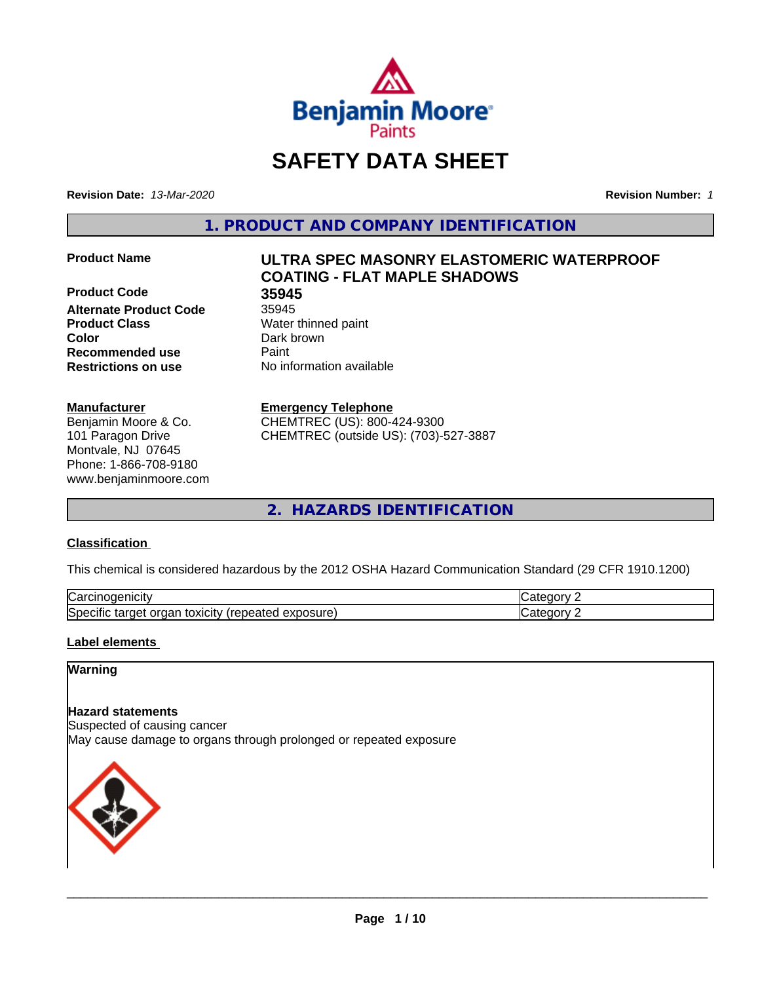

# **SAFETY DATA SHEET**

**Revision Date:** *13-Mar-2020* **Revision Number:** *1*

**1. PRODUCT AND COMPANY IDENTIFICATION**

**Product Code 35945 Alternate Product Code** 35945 **Product Class** Water thinned paint **Color** Dark brown **Recommended use Caint Restrictions on use** No information available

# **Manufacturer**

Benjamin Moore & Co. 101 Paragon Drive Montvale, NJ 07645 Phone: 1-866-708-9180 www.benjaminmoore.com

# **Product Name ULTRA SPEC MASONRY ELASTOMERIC WATERPROOF COATING - FLAT MAPLE SHADOWS**

# **Emergency Telephone**

CHEMTREC (US): 800-424-9300 CHEMTREC (outside US): (703)-527-3887

**2. HAZARDS IDENTIFICATION**

# **Classification**

This chemical is considered hazardous by the 2012 OSHA Hazard Communication Standard (29 CFR 1910.1200)

| ∽<br>AICID<br>vai                                                                                                         | - 10       |
|---------------------------------------------------------------------------------------------------------------------------|------------|
| ∽<br><b>posure</b><br>exr<br>organ<br>Spe <sup>r</sup><br>target<br>toxicity<br>tar<br>repe.<br>CIHC<br>$\sim$ -different | ---<br>. . |

# **Label elements**

# **Warning**

# **Hazard statements**

Suspected of causing cancer May cause damage to organs through prolonged or repeated exposure

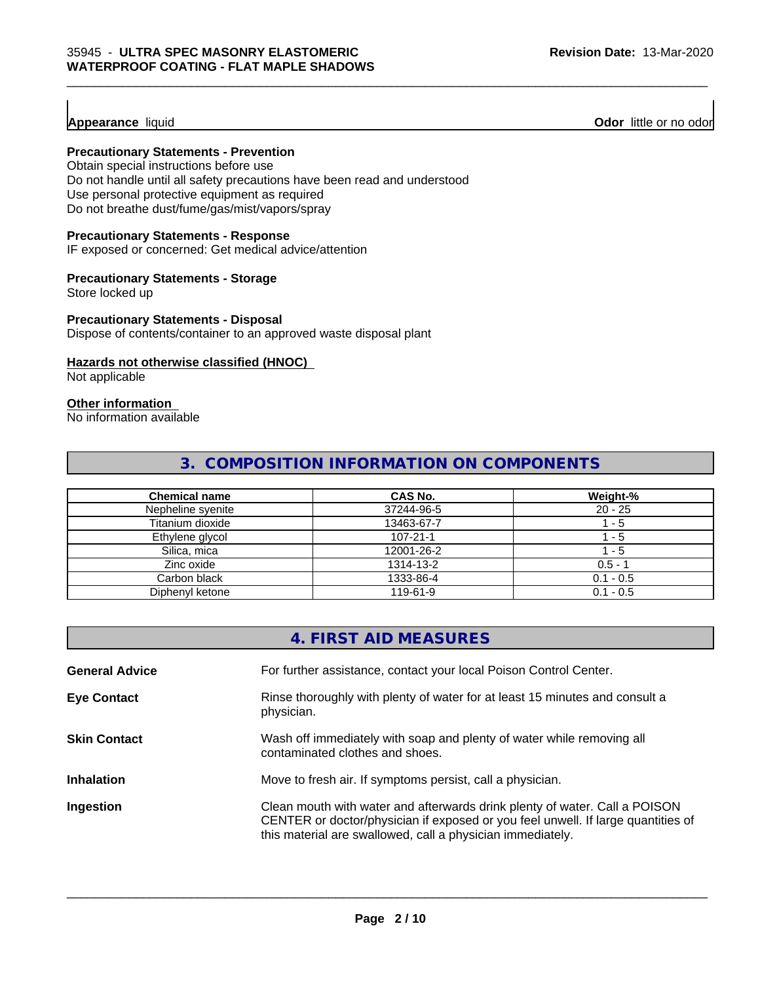**Appearance** liquid **Odor 11** Odor little or no odor

# **Precautionary Statements - Prevention**

Obtain special instructions before use Do not handle until all safety precautions have been read and understood Use personal protective equipment as required Do not breathe dust/fume/gas/mist/vapors/spray

#### **Precautionary Statements - Response**

IF exposed or concerned: Get medical advice/attention

#### **Precautionary Statements - Storage**

Store locked up

#### **Precautionary Statements - Disposal**

Dispose of contents/container to an approved waste disposal plant

# **Hazards not otherwise classified (HNOC)**

Not applicable

# **Other information**

No information available

# **3. COMPOSITION INFORMATION ON COMPONENTS**

| <b>Chemical name</b> | <b>CAS No.</b> | Weight-%    |
|----------------------|----------------|-------------|
| Nepheline syenite    | 37244-96-5     | $20 - 25$   |
| Titanium dioxide     | 13463-67-7     | l - 5       |
| Ethylene glycol      | $107 - 21 - 1$ | - 5         |
| Silica, mica         | 12001-26-2     | $-5$        |
| Zinc oxide           | 1314-13-2      | $0.5 - 1$   |
| Carbon black         | 1333-86-4      | $0.1 - 0.5$ |
| Diphenyl ketone      | 119-61-9       | $0.1 - 0.5$ |

|                       | 4. FIRST AID MEASURES                                                                                                                                                                                                        |
|-----------------------|------------------------------------------------------------------------------------------------------------------------------------------------------------------------------------------------------------------------------|
| <b>General Advice</b> | For further assistance, contact your local Poison Control Center.                                                                                                                                                            |
| <b>Eye Contact</b>    | Rinse thoroughly with plenty of water for at least 15 minutes and consult a<br>physician.                                                                                                                                    |
| <b>Skin Contact</b>   | Wash off immediately with soap and plenty of water while removing all<br>contaminated clothes and shoes.                                                                                                                     |
| <b>Inhalation</b>     | Move to fresh air. If symptoms persist, call a physician.                                                                                                                                                                    |
| Ingestion             | Clean mouth with water and afterwards drink plenty of water. Call a POISON<br>CENTER or doctor/physician if exposed or you feel unwell. If large quantities of<br>this material are swallowed, call a physician immediately. |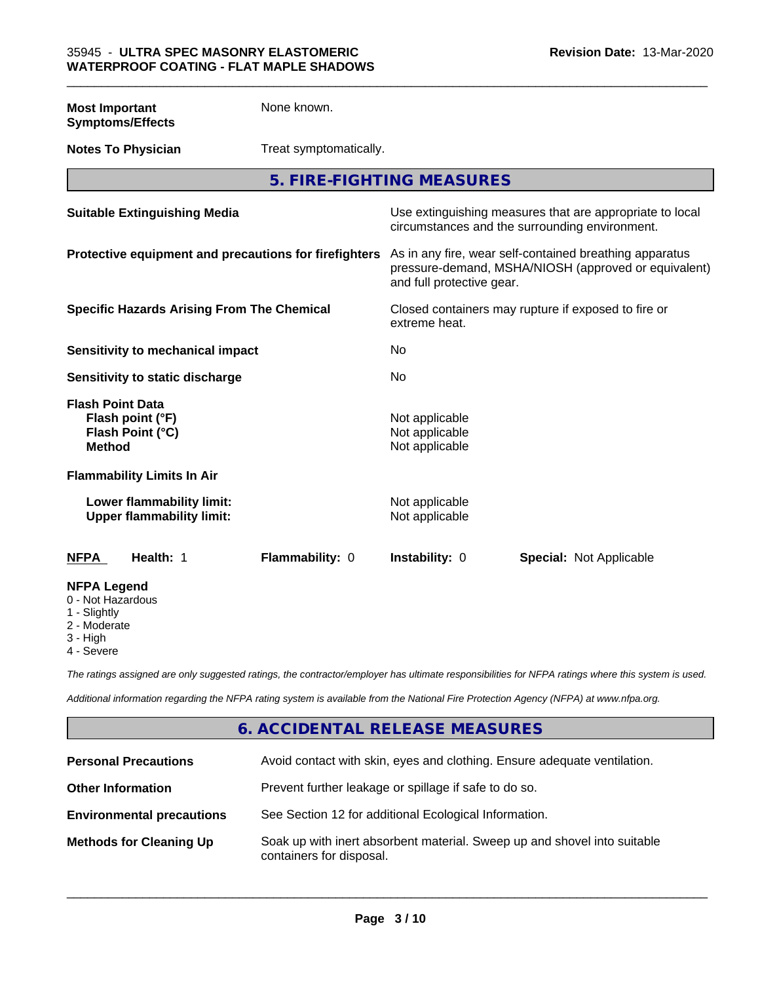**Most Important Symptoms/Effects** None known.

**Notes To Physician** Treat symptomatically.

**5. FIRE-FIGHTING MEASURES**

| <b>Suitable Extinguishing Media</b>                                              | Use extinguishing measures that are appropriate to local<br>circumstances and the surrounding environment.                                   |
|----------------------------------------------------------------------------------|----------------------------------------------------------------------------------------------------------------------------------------------|
| Protective equipment and precautions for firefighters                            | As in any fire, wear self-contained breathing apparatus<br>pressure-demand, MSHA/NIOSH (approved or equivalent)<br>and full protective gear. |
| <b>Specific Hazards Arising From The Chemical</b>                                | Closed containers may rupture if exposed to fire or<br>extreme heat.                                                                         |
| Sensitivity to mechanical impact                                                 | No                                                                                                                                           |
| Sensitivity to static discharge                                                  | No                                                                                                                                           |
| <b>Flash Point Data</b><br>Flash point (°F)<br>Flash Point (°C)<br><b>Method</b> | Not applicable<br>Not applicable<br>Not applicable                                                                                           |
| <b>Flammability Limits In Air</b>                                                |                                                                                                                                              |
| Lower flammability limit:<br><b>Upper flammability limit:</b>                    | Not applicable<br>Not applicable                                                                                                             |
| <b>NFPA</b><br>Health: 1<br>Flammability: 0                                      | <b>Instability: 0</b><br><b>Special: Not Applicable</b>                                                                                      |
| <b>NFPA Legend</b><br>0 - Not Hazardous<br>1 - Slightly                          |                                                                                                                                              |

2 - Moderate

3 - High

4 - Severe

*The ratings assigned are only suggested ratings, the contractor/employer has ultimate responsibilities for NFPA ratings where this system is used.*

*Additional information regarding the NFPA rating system is available from the National Fire Protection Agency (NFPA) at www.nfpa.org.*

# **6. ACCIDENTAL RELEASE MEASURES**

| <b>Personal Precautions</b>      | Avoid contact with skin, eyes and clothing. Ensure adequate ventilation.                             |
|----------------------------------|------------------------------------------------------------------------------------------------------|
| <b>Other Information</b>         | Prevent further leakage or spillage if safe to do so.                                                |
| <b>Environmental precautions</b> | See Section 12 for additional Ecological Information.                                                |
| <b>Methods for Cleaning Up</b>   | Soak up with inert absorbent material. Sweep up and shovel into suitable<br>containers for disposal. |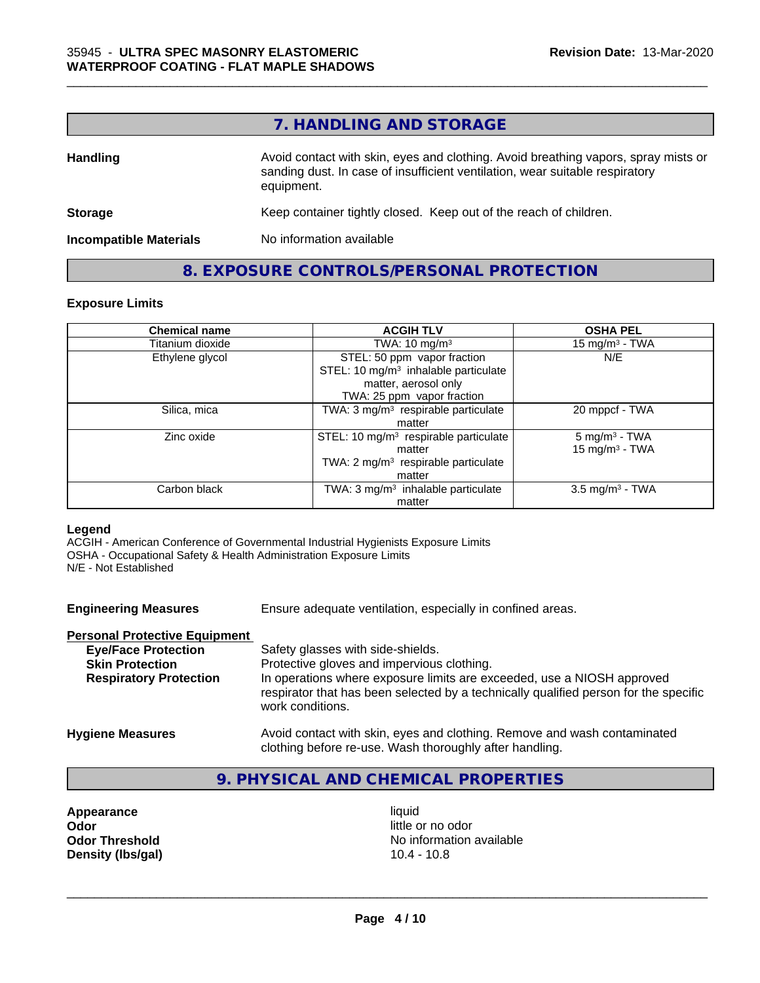# **7. HANDLING AND STORAGE**

| <b>Handling</b>               | Avoid contact with skin, eyes and clothing. Avoid breathing vapors, spray mists or<br>sanding dust. In case of insufficient ventilation, wear suitable respiratory<br>equipment. |
|-------------------------------|----------------------------------------------------------------------------------------------------------------------------------------------------------------------------------|
| <b>Storage</b>                | Keep container tightly closed. Keep out of the reach of children.                                                                                                                |
| <b>Incompatible Materials</b> | No information available                                                                                                                                                         |

# **8. EXPOSURE CONTROLS/PERSONAL PROTECTION**

# **Exposure Limits**

| <b>Chemical name</b> | <b>ACGIH TLV</b>                                                                                                                      | <b>OSHA PEL</b>                               |
|----------------------|---------------------------------------------------------------------------------------------------------------------------------------|-----------------------------------------------|
| Titanium dioxide     | TWA: $10 \text{ mg/m}^3$                                                                                                              | 15 mg/m $3$ - TWA                             |
| Ethylene glycol      | STEL: 50 ppm vapor fraction<br>STEL: 10 mg/m <sup>3</sup> inhalable particulate<br>matter, aerosol only<br>TWA: 25 ppm vapor fraction | N/E                                           |
| Silica, mica         | TWA: 3 mg/m <sup>3</sup> respirable particulate<br>matter                                                                             | 20 mppcf - TWA                                |
| Zinc oxide           | STEL: 10 $mg/m3$ respirable particulate<br>matter<br>TWA: 2 mg/m <sup>3</sup> respirable particulate<br>matter                        | $5 \text{ mg/m}^3$ - TWA<br>15 mg/m $3$ - TWA |
| Carbon black         | TWA: 3 mg/m <sup>3</sup> inhalable particulate<br>matter                                                                              | $3.5 \text{ mg/m}^3$ - TWA                    |

#### **Legend**

ACGIH - American Conference of Governmental Industrial Hygienists Exposure Limits OSHA - Occupational Safety & Health Administration Exposure Limits N/E - Not Established

| <b>Engineering Measures</b>          | Ensure adequate ventilation, especially in confined areas.                                                          |
|--------------------------------------|---------------------------------------------------------------------------------------------------------------------|
| <b>Personal Protective Equipment</b> |                                                                                                                     |
| <b>Eye/Face Protection</b>           | Safety glasses with side-shields.                                                                                   |
| <b>Skin Protection</b>               | Protective gloves and impervious clothing.                                                                          |
| <b>Respiratory Protection</b>        | In operations where exposure limits are exceeded, use a NIOSH approved                                              |
|                                      | respirator that has been selected by a technically qualified person for the specific<br>work conditions.            |
|                                      | As a state of a state of the state of a state of the first state of the state of the state of the state of $\alpha$ |

#### **Hygiene Measures** Avoid contact with skin, eyes and clothing. Remove and wash contaminated clothing before re-use. Wash thoroughly after handling.

# **9. PHYSICAL AND CHEMICAL PROPERTIES**

**Appearance** liquid **and a set of the contract of the contract of the contract of the contract of the contract of the contract of the contract of the contract of the contract of the contract of the contract of the contract Odor**<br> **Odor Threshold**<br> **Odor Threshold**<br> **Odor Threshold**<br> **Odor Density (lbs/gal)** 

No information available<br>10.4 - 10.8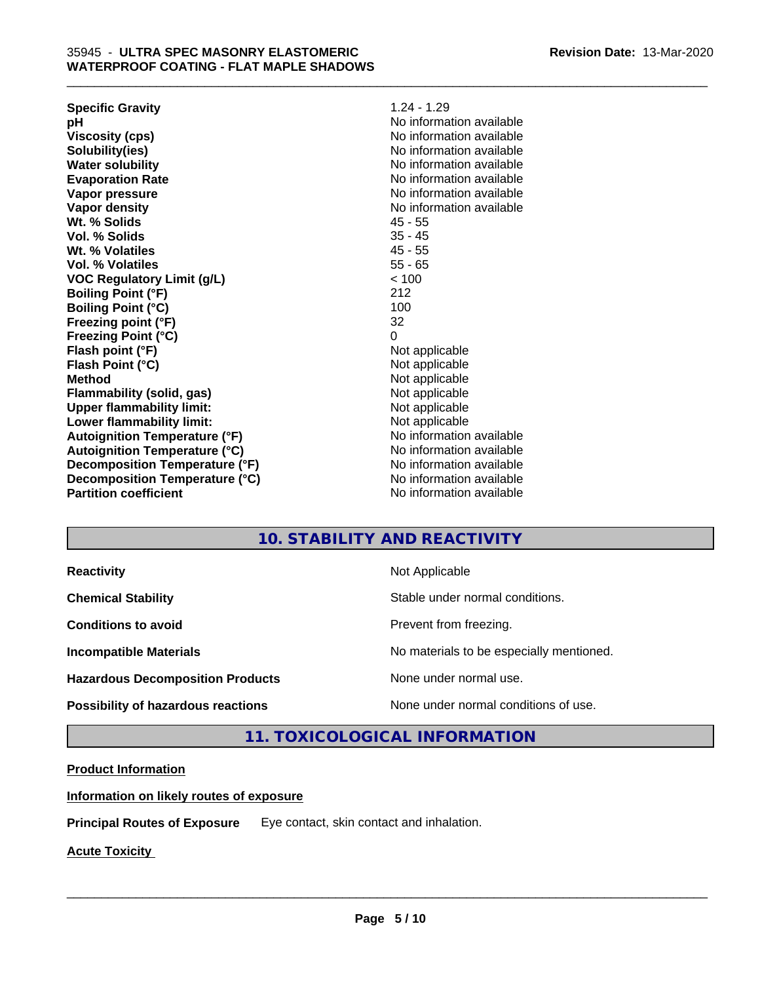| <b>Specific Gravity</b>              | $1.24 - 1.29$            |
|--------------------------------------|--------------------------|
| рH                                   | No information available |
| <b>Viscosity (cps)</b>               | No information available |
| Solubility(ies)                      | No information available |
| <b>Water solubility</b>              | No information available |
| <b>Evaporation Rate</b>              | No information available |
| Vapor pressure                       | No information available |
| Vapor density                        | No information available |
| Wt. % Solids                         | $45 - 55$                |
| Vol. % Solids                        | $35 - 45$                |
| Wt. % Volatiles                      | $45 - 55$                |
| Vol. % Volatiles                     | $55 - 65$                |
| <b>VOC Regulatory Limit (g/L)</b>    | < 100                    |
| <b>Boiling Point (°F)</b>            | 212                      |
| <b>Boiling Point (°C)</b>            | 100                      |
| Freezing point (°F)                  | 32                       |
| <b>Freezing Point (°C)</b>           | 0                        |
| Flash point (°F)                     | Not applicable           |
| Flash Point (°C)                     | Not applicable           |
| <b>Method</b>                        | Not applicable           |
| Flammability (solid, gas)            | Not applicable           |
| <b>Upper flammability limit:</b>     | Not applicable           |
| Lower flammability limit:            | Not applicable           |
| <b>Autoignition Temperature (°F)</b> | No information available |
| <b>Autoignition Temperature (°C)</b> | No information available |
| Decomposition Temperature (°F)       | No information available |
| Decomposition Temperature (°C)       | No information available |
| <b>Partition coefficient</b>         | No information available |
|                                      |                          |

# **10. STABILITY AND REACTIVITY**

**Hazardous Decomposition Products** None under normal use.

**Reactivity Not Applicable** Not Applicable

**Chemical Stability Chemical Stability** Stable under normal conditions.

**Conditions to avoid Conditions to avoid Prevent from freezing.** 

\_\_\_\_\_\_\_\_\_\_\_\_\_\_\_\_\_\_\_\_\_\_\_\_\_\_\_\_\_\_\_\_\_\_\_\_\_\_\_\_\_\_\_\_\_\_\_\_\_\_\_\_\_\_\_\_\_\_\_\_\_\_\_\_\_\_\_\_\_\_\_\_\_\_\_\_\_\_\_\_\_\_\_\_\_\_\_\_\_\_\_\_\_

**Incompatible Materials No materials** No materials to be especially mentioned.

 $\overline{\phantom{a}}$  ,  $\overline{\phantom{a}}$  ,  $\overline{\phantom{a}}$  ,  $\overline{\phantom{a}}$  ,  $\overline{\phantom{a}}$  ,  $\overline{\phantom{a}}$  ,  $\overline{\phantom{a}}$  ,  $\overline{\phantom{a}}$  ,  $\overline{\phantom{a}}$  ,  $\overline{\phantom{a}}$  ,  $\overline{\phantom{a}}$  ,  $\overline{\phantom{a}}$  ,  $\overline{\phantom{a}}$  ,  $\overline{\phantom{a}}$  ,  $\overline{\phantom{a}}$  ,  $\overline{\phantom{a}}$ 

**Possibility of hazardous reactions** None under normal conditions of use.

**11. TOXICOLOGICAL INFORMATION**

# **Product Information**

**Information on likely routes of exposure**

**Principal Routes of Exposure** Eye contact, skin contact and inhalation.

**Acute Toxicity**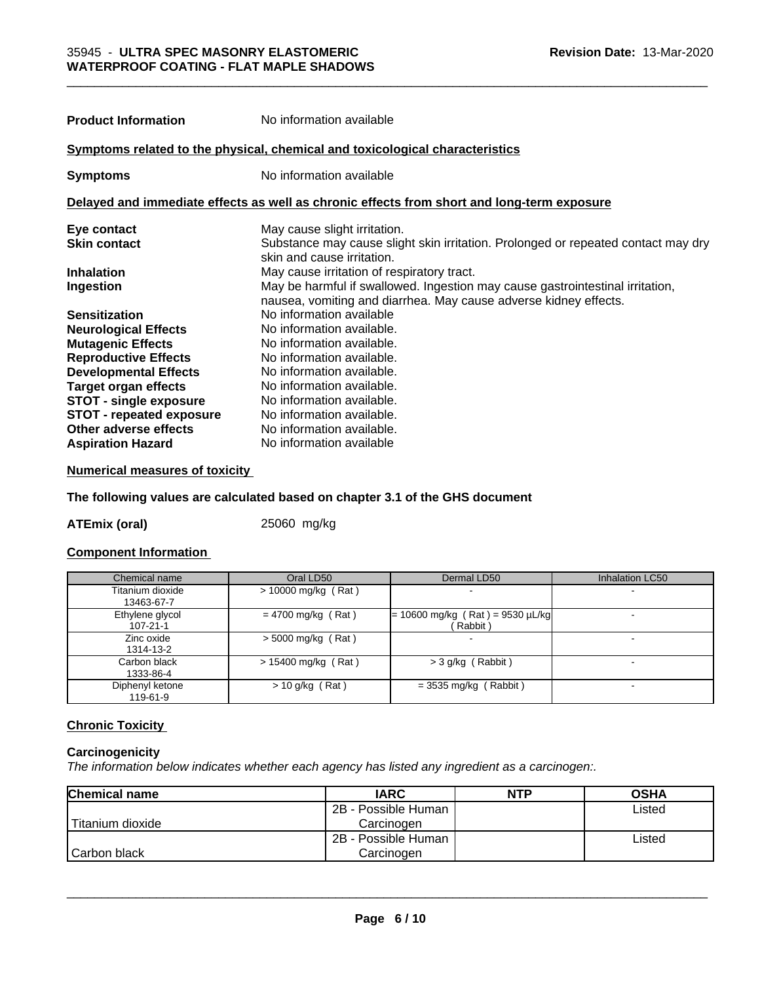| <b>Product Information</b>      | No information available                                                                                                                          |
|---------------------------------|---------------------------------------------------------------------------------------------------------------------------------------------------|
|                                 | Symptoms related to the physical, chemical and toxicological characteristics                                                                      |
| <b>Symptoms</b>                 | No information available                                                                                                                          |
|                                 | Delayed and immediate effects as well as chronic effects from short and long-term exposure                                                        |
| Eye contact                     | May cause slight irritation.                                                                                                                      |
| <b>Skin contact</b>             | Substance may cause slight skin irritation. Prolonged or repeated contact may dry<br>skin and cause irritation.                                   |
| <b>Inhalation</b>               | May cause irritation of respiratory tract.                                                                                                        |
| Ingestion                       | May be harmful if swallowed. Ingestion may cause gastrointestinal irritation,<br>nausea, vomiting and diarrhea. May cause adverse kidney effects. |
| <b>Sensitization</b>            | No information available                                                                                                                          |
| <b>Neurological Effects</b>     | No information available.                                                                                                                         |
| <b>Mutagenic Effects</b>        | No information available.                                                                                                                         |
| <b>Reproductive Effects</b>     | No information available.                                                                                                                         |
| <b>Developmental Effects</b>    | No information available.                                                                                                                         |
| <b>Target organ effects</b>     | No information available.                                                                                                                         |
| <b>STOT - single exposure</b>   | No information available.                                                                                                                         |
| <b>STOT - repeated exposure</b> | No information available.                                                                                                                         |
| Other adverse effects           | No information available.                                                                                                                         |
| <b>Aspiration Hazard</b>        | No information available                                                                                                                          |

# **Numerical measures of toxicity**

# **The following values are calculated based on chapter 3.1 of the GHS document**

**ATEmix (oral)** 25060 mg/kg

# **Component Information**

| Chemical name                     | Oral LD50             | Dermal LD50                                   | <b>Inhalation LC50</b> |
|-----------------------------------|-----------------------|-----------------------------------------------|------------------------|
| Titanium dioxide<br>13463-67-7    | $> 10000$ mg/kg (Rat) |                                               |                        |
| Ethylene glycol<br>$107 - 21 - 1$ | $= 4700$ mg/kg (Rat)  | $= 10600$ mg/kg (Rat) = 9530 µL/kg<br>Rabbit) |                        |
| Zinc oxide<br>1314-13-2           | $>$ 5000 mg/kg (Rat)  |                                               |                        |
| Carbon black<br>1333-86-4         | $> 15400$ mg/kg (Rat) | $>$ 3 g/kg (Rabbit)                           |                        |
| Diphenyl ketone<br>119-61-9       | $> 10$ g/kg (Rat)     | $=$ 3535 mg/kg (Rabbit)                       |                        |

# **Chronic Toxicity**

# **Carcinogenicity**

*The information below indicateswhether each agency has listed any ingredient as a carcinogen:.*

| <b>Chemical name</b> | <b>IARC</b>         | <b>NTP</b> | <b>OSHA</b> |
|----------------------|---------------------|------------|-------------|
|                      | 2B - Possible Human |            | Listed      |
| Titanium dioxide     | Carcinoɑen          |            |             |
|                      | 2B - Possible Human |            | Listed      |
| Carbon black         | Carcinogen          |            |             |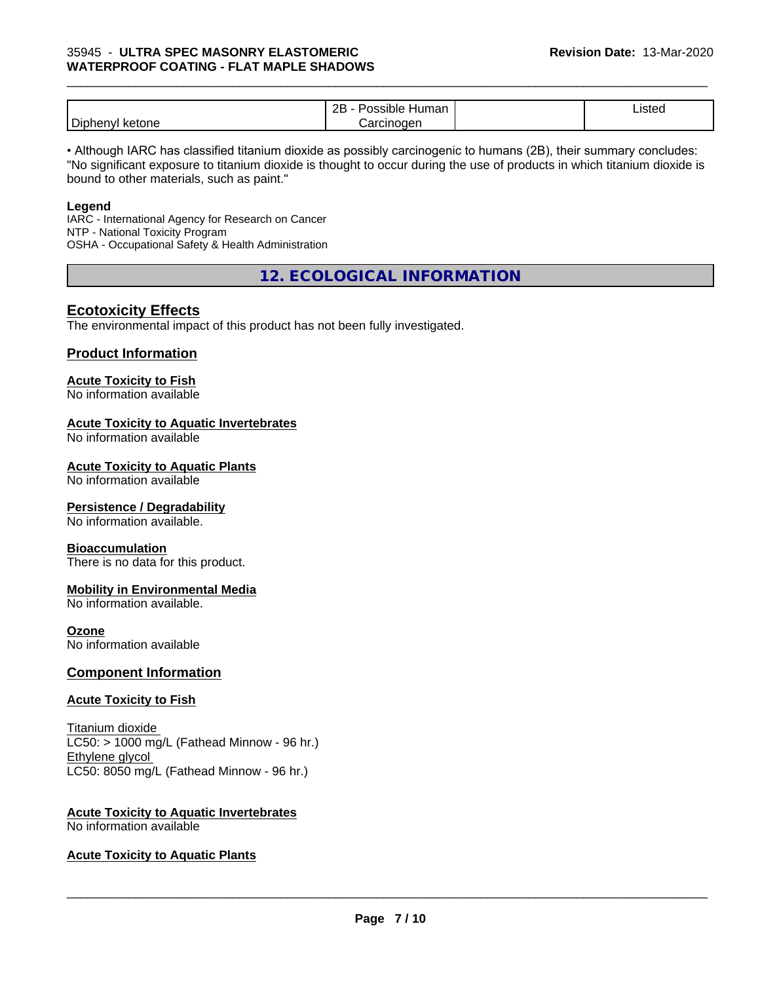|                         | ם מ<br>⊣umar<br>.<br>зюю<br><br>ᅩ | $\overline{\phantom{a}}$<br>Listed |  |
|-------------------------|-----------------------------------|------------------------------------|--|
| Diphe<br>ketone<br>envl | arcinoden<br>الہ ہ                |                                    |  |

\_\_\_\_\_\_\_\_\_\_\_\_\_\_\_\_\_\_\_\_\_\_\_\_\_\_\_\_\_\_\_\_\_\_\_\_\_\_\_\_\_\_\_\_\_\_\_\_\_\_\_\_\_\_\_\_\_\_\_\_\_\_\_\_\_\_\_\_\_\_\_\_\_\_\_\_\_\_\_\_\_\_\_\_\_\_\_\_\_\_\_\_\_

• Although IARC has classified titanium dioxide as possibly carcinogenic to humans (2B), their summary concludes: "No significant exposure to titanium dioxide is thought to occur during the use of products in which titanium dioxide is bound to other materials, such as paint."

#### **Legend**

IARC - International Agency for Research on Cancer NTP - National Toxicity Program OSHA - Occupational Safety & Health Administration

**12. ECOLOGICAL INFORMATION**

# **Ecotoxicity Effects**

The environmental impact of this product has not been fully investigated.

# **Product Information**

# **Acute Toxicity to Fish**

No information available

# **Acute Toxicity to Aquatic Invertebrates**

No information available

#### **Acute Toxicity to Aquatic Plants**

No information available

# **Persistence / Degradability**

No information available.

#### **Bioaccumulation**

There is no data for this product.

# **Mobility in Environmental Media**

No information available.

# **Ozone**

No information available

# **Component Information**

# **Acute Toxicity to Fish**

Titanium dioxide  $LC50:$  > 1000 mg/L (Fathead Minnow - 96 hr.) Ethylene glycol LC50: 8050 mg/L (Fathead Minnow - 96 hr.)

#### **Acute Toxicity to Aquatic Invertebrates** No information available

# **Acute Toxicity to Aquatic Plants**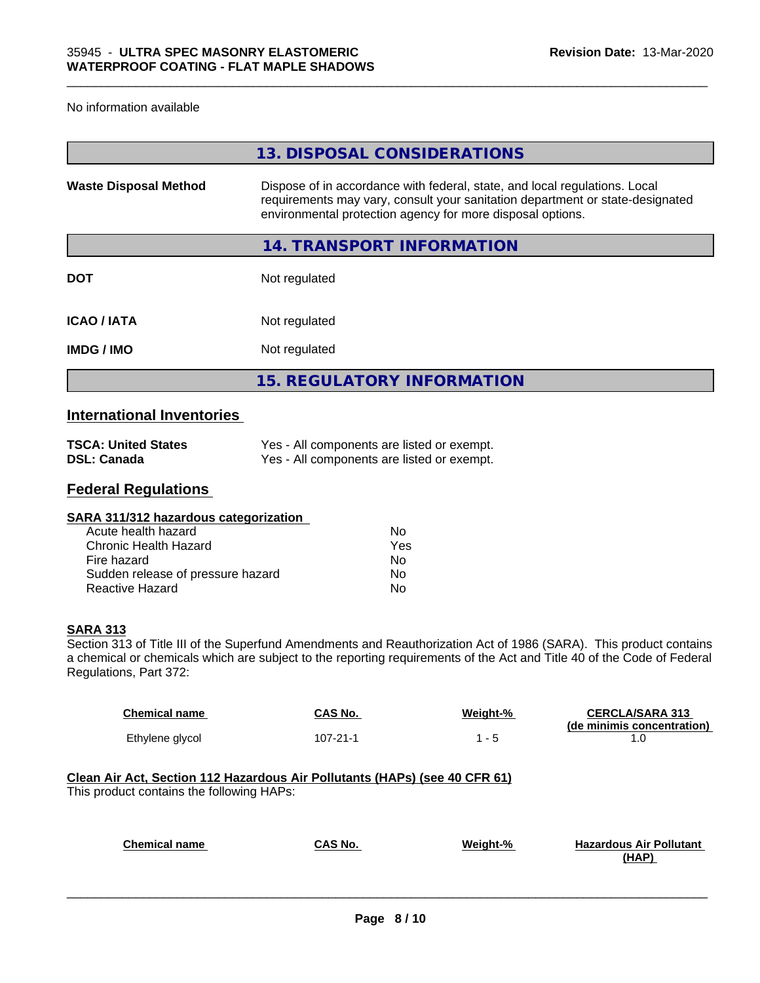#### No information available

|                              | 13. DISPOSAL CONSIDERATIONS                                                                                                                                                                                               |
|------------------------------|---------------------------------------------------------------------------------------------------------------------------------------------------------------------------------------------------------------------------|
| <b>Waste Disposal Method</b> | Dispose of in accordance with federal, state, and local regulations. Local<br>requirements may vary, consult your sanitation department or state-designated<br>environmental protection agency for more disposal options. |
|                              | 14. TRANSPORT INFORMATION                                                                                                                                                                                                 |
| <b>DOT</b>                   | Not regulated                                                                                                                                                                                                             |
| <b>ICAO/IATA</b>             | Not regulated                                                                                                                                                                                                             |
| <b>IMDG/IMO</b>              | Not regulated                                                                                                                                                                                                             |
|                              | <b>15. REGULATORY INFORMATION</b>                                                                                                                                                                                         |

# **International Inventories**

| <b>TSCA: United States</b> | Yes - All components are listed or exempt. |
|----------------------------|--------------------------------------------|
| DSL: Canada                | Yes - All components are listed or exempt. |

# **Federal Regulations**

| SARA 311/312 hazardous categorization |     |  |
|---------------------------------------|-----|--|
| Acute health hazard                   | Nο  |  |
| Chronic Health Hazard                 | Yes |  |
| Fire hazard                           | No. |  |
| Sudden release of pressure hazard     | No  |  |
| Reactive Hazard                       | No  |  |
|                                       |     |  |

# **SARA 313**

Section 313 of Title III of the Superfund Amendments and Reauthorization Act of 1986 (SARA). This product contains a chemical or chemicals which are subject to the reporting requirements of the Act and Title 40 of the Code of Federal Regulations, Part 372:

| <b>Chemical name</b> | CAS No.  | Weight-% | <b>CERCLA/SARA 313</b>     |
|----------------------|----------|----------|----------------------------|
| Ethylene glycol      | 107-21-1 | - 5      | (de minimis concentration) |

# **Clean Air Act,Section 112 Hazardous Air Pollutants (HAPs) (see 40 CFR 61)** This product contains the following HAPs:

| <b>Chemical name</b> | CAS No. | Weight-% | <b>Hazardous Air Pollutant</b> |
|----------------------|---------|----------|--------------------------------|
|                      |         |          | (HAP)                          |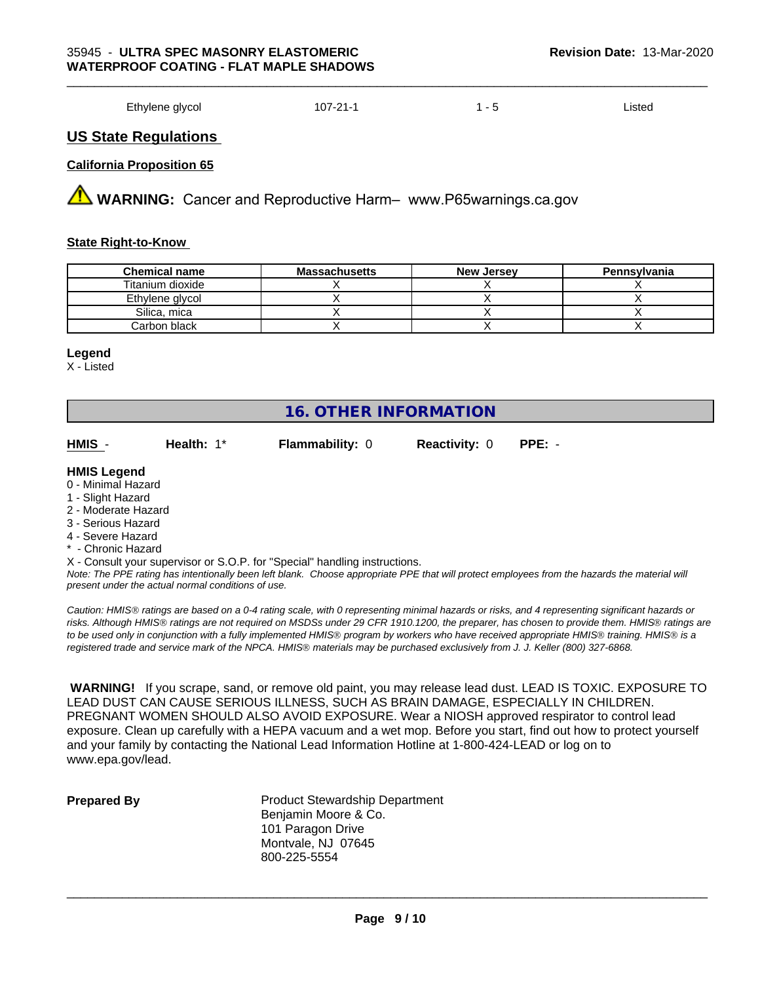Ethylene glycol and the 107-21-1 107-21-1 1 - 5 Listed

# **US State Regulations**

# **California Proposition 65**

**AVIMARNING:** Cancer and Reproductive Harm– www.P65warnings.ca.gov

#### **State Right-to-Know**

| <b>Chemical name</b> | <b>Massachusetts</b> | <b>New Jersey</b> | Pennsylvania |
|----------------------|----------------------|-------------------|--------------|
| Titanium dioxide     |                      |                   |              |
| Ethylene glycol      |                      |                   |              |
| Silica, mica         |                      |                   |              |
| Carbon black         |                      |                   |              |

#### **Legend**

X - Listed

# **16. OTHER INFORMATION**

| HMIS | Health: $1^*$ | <b>Flammability: 0</b> | <b>Reactivity: 0 PPE: -</b> |  |
|------|---------------|------------------------|-----------------------------|--|
| .    |               |                        |                             |  |

#### **HMIS Legend**

- 0 Minimal Hazard
- 1 Slight Hazard
- 2 Moderate Hazard
- 3 Serious Hazard
- 4 Severe Hazard
- \* Chronic Hazard
- X Consult your supervisor or S.O.P. for "Special" handling instructions.

*Note: The PPE rating has intentionally been left blank. Choose appropriate PPE that will protect employees from the hazards the material will present under the actual normal conditions of use.*

*Caution: HMISÒ ratings are based on a 0-4 rating scale, with 0 representing minimal hazards or risks, and 4 representing significant hazards or risks. Although HMISÒ ratings are not required on MSDSs under 29 CFR 1910.1200, the preparer, has chosen to provide them. HMISÒ ratings are to be used only in conjunction with a fully implemented HMISÒ program by workers who have received appropriate HMISÒ training. HMISÒ is a registered trade and service mark of the NPCA. HMISÒ materials may be purchased exclusively from J. J. Keller (800) 327-6868.*

 **WARNING!** If you scrape, sand, or remove old paint, you may release lead dust. LEAD IS TOXIC. EXPOSURE TO LEAD DUST CAN CAUSE SERIOUS ILLNESS, SUCH AS BRAIN DAMAGE, ESPECIALLY IN CHILDREN. PREGNANT WOMEN SHOULD ALSO AVOID EXPOSURE.Wear a NIOSH approved respirator to control lead exposure. Clean up carefully with a HEPA vacuum and a wet mop. Before you start, find out how to protect yourself and your family by contacting the National Lead Information Hotline at 1-800-424-LEAD or log on to www.epa.gov/lead.

**Prepared By** Product Stewardship Department Benjamin Moore & Co. 101 Paragon Drive Montvale, NJ 07645 800-225-5554